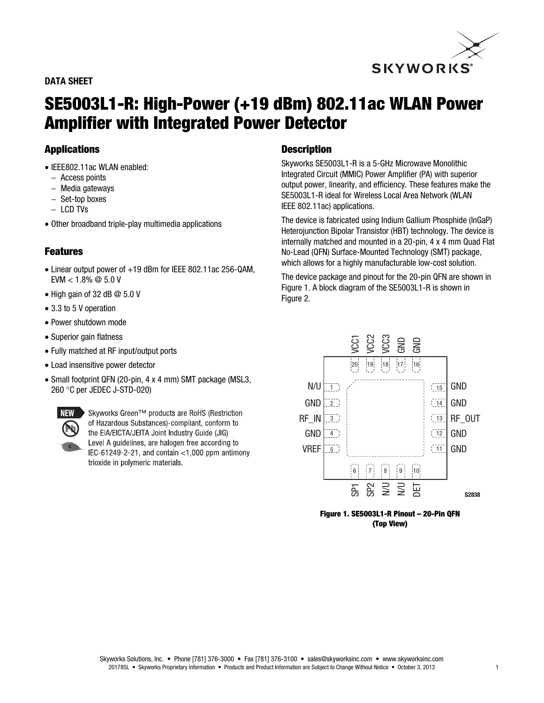# **SKYWORKS**<sup>®</sup>

# **DATA SHEET**

# **SE5003L1-R: High-Power (+19 dBm) 802.11ac WLAN Power Amplifier with Integrated Power Detector**

# **Applications**

- IEEE802.11ac WLAN enabled:
	- − Access points
	- − Media gateways
	- − Set-top boxes
	- − LCD TVs
- Other broadband triple-play multimedia applications

# **Features**

- Linear output power of +19 dBm for IEEE 802.11ac 256-QAM,  $EVM < 1.8\% \ @ 5.0 V$
- High gain of 32 dB @ 5.0 V
- 3.3 to 5 V operation
- Power shutdown mode
- Superior gain flatness
- Fully matched at RF input/output ports
- Load insensitive power detector
- Small footprint QFN (20-pin, 4 x 4 mm) SMT package (MSL3, 260 °C per JEDEC J-STD-020)



Skyworks Green™ products are RoHS (Restriction of Hazardous Substances)-compliant, conform to the EIA/EICTA/JEITA Joint Industry Guide (JIG) Level A guidelines, are halogen free according to IEC-61249-2-21, and contain  $<$ 1,000 ppm antimony trioxide in polymeric materials.

#### **Description**

Skyworks SE5003L1-R is a 5-GHz Microwave Monolithic Integrated Circuit (MMIC) Power Amplifier (PA) with superior output power, linearity, and efficiency. These features make the SE5003L1-R ideal for Wireless Local Area Network (WLAN IEEE 802.11ac) applications.

The device is fabricated using Indium Gallium Phosphide (InGaP) Heterojunction Bipolar Transistor (HBT) technology. The device is internally matched and mounted in a 20-pin, 4 x 4 mm Quad Flat No-Lead (QFN) Surface-Mounted Technology (SMT) package, which allows for a highly manufacturable low-cost solution.

The device package and pinout for the 20-pin QFN are shown in Figure 1. A block diagram of the SE5003L1-R is shown in Figure 2.



**Figure 1. SE5003L1-R Pinout – 20-Pin QFN (Top View)**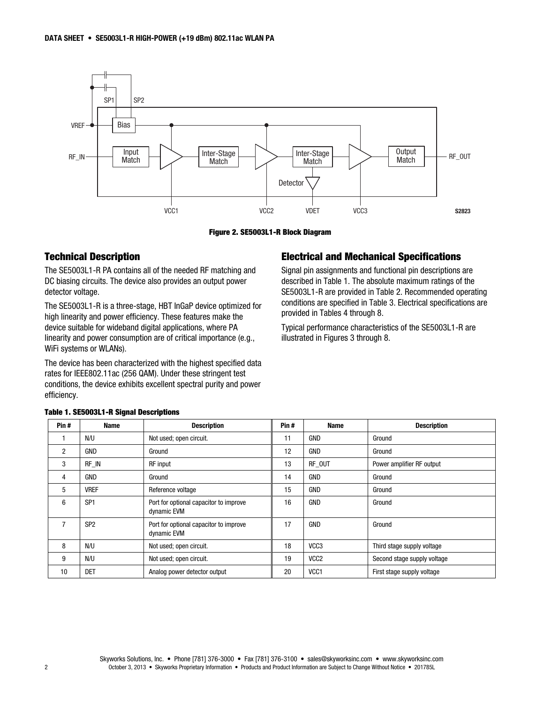

**Figure 2. SE5003L1-R Block Diagram** 

### **Technical Description**

The SE5003L1-R PA contains all of the needed RF matching and DC biasing circuits. The device also provides an output power detector voltage.

The SE5003L1-R is a three-stage, HBT InGaP device optimized for high linearity and power efficiency. These features make the device suitable for wideband digital applications, where PA linearity and power consumption are of critical importance (e.g., WiFi systems or WLANs).

The device has been characterized with the highest specified data rates for IEEE802.11ac (256 QAM). Under these stringent test conditions, the device exhibits excellent spectral purity and power efficiency.

#### **Electrical and Mechanical Specifications**

Signal pin assignments and functional pin descriptions are described in Table 1. The absolute maximum ratings of the SE5003L1-R are provided in Table 2. Recommended operating conditions are specified in Table 3. Electrical specifications are provided in Tables 4 through 8.

Typical performance characteristics of the SE5003L1-R are illustrated in Figures 3 through 8.

| Pin# | <b>Name</b>     | <b>Description</b>                                    | Pin# | <b>Name</b>      | <b>Description</b>          |
|------|-----------------|-------------------------------------------------------|------|------------------|-----------------------------|
|      | N/U             | Not used; open circuit.                               | 11   | <b>GND</b>       | Ground                      |
| 2    | <b>GND</b>      | Ground                                                | 12   | <b>GND</b>       | Ground                      |
| 3    | RF IN           | <b>RF</b> input                                       | 13   | RF_OUT           | Power amplifier RF output   |
| 4    | <b>GND</b>      | Ground                                                | 14   | <b>GND</b>       | Ground                      |
| 5    | <b>VREF</b>     | Reference voltage                                     | 15   | GND              | Ground                      |
| 6    | SP <sub>1</sub> | Port for optional capacitor to improve<br>dynamic EVM | 16   | <b>GND</b>       | Ground                      |
|      | SP <sub>2</sub> | Port for optional capacitor to improve<br>dynamic EVM | 17   | GND              | Ground                      |
| 8    | N/U             | Not used; open circuit.                               | 18   | VCC <sub>3</sub> | Third stage supply voltage  |
| 9    | N/U             | Not used; open circuit.                               | 19   | VCC <sub>2</sub> | Second stage supply voltage |
| 10   | <b>DET</b>      | Analog power detector output                          | 20   | VCC <sub>1</sub> | First stage supply voltage  |

#### **Table 1. SE5003L1-R Signal Descriptions**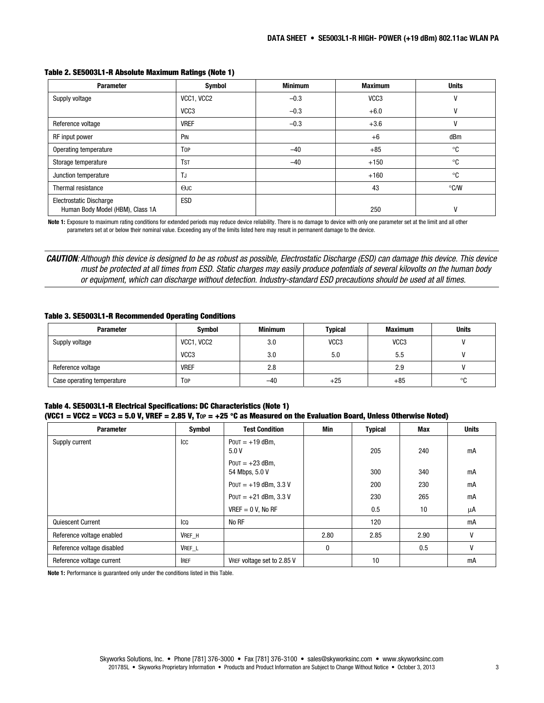| <b>Parameter</b>                                                   | <b>Symbol</b>    | <b>Minimum</b> | <b>Maximum</b>   | <b>Units</b>  |
|--------------------------------------------------------------------|------------------|----------------|------------------|---------------|
| Supply voltage                                                     | VCC1, VCC2       | $-0.3$         | VCC <sub>3</sub> | V             |
|                                                                    | VCC <sub>3</sub> | $-0.3$         | $+6.0$           | V             |
| Reference voltage                                                  | <b>VREF</b>      | $-0.3$         | $+3.6$           | V             |
| RF input power                                                     | PIN              |                | $+6$             | dBm           |
| Operating temperature                                              | <b>TOP</b>       | $-40$          | $+85$            | °C            |
| Storage temperature                                                | <b>TST</b>       | $-40$          | $+150$           | °C            |
| Junction temperature                                               | TJ               |                | $+160$           | °C            |
| Thermal resistance                                                 | $O$ JC           |                | 43               | $\degree$ C/W |
| <b>Electrostatic Discharge</b><br>Human Body Model (HBM), Class 1A | <b>ESD</b>       |                | 250              | V             |

#### **Table 2. SE5003L1-R Absolute Maximum Ratings (Note 1)**

**Note 1:** Exposure to maximum rating conditions for extended periods may reduce device reliability. There is no damage to device with only one parameter set at the limit and all other parameters set at or below their nominal value. Exceeding any of the limits listed here may result in permanent damage to the device.

*CAUTION*: Although this device is designed to be as robust as possible, Electrostatic Discharge (ESD) can damage this device. This device must be protected at all times from ESD. Static charges may easily produce potentials of several kilovolts on the human body or equipment, which can discharge without detection. Industry-standard ESD precautions should be used at all times.

#### **Table 3. SE5003L1-R Recommended Operating Conditions**

| <b>Parameter</b>           | Symbol           | <b>Minimum</b> | Typical          | <b>Maximum</b>   | <b>Units</b> |
|----------------------------|------------------|----------------|------------------|------------------|--------------|
| Supply voltage             | VCC1, VCC2       | 3.0            | VCC <sub>3</sub> | VCC <sub>3</sub> |              |
|                            | VCC <sub>3</sub> | 3.0            | 5.0              | 5.5              |              |
| Reference voltage          | <b>VREF</b>      | 2.8            |                  | 2.9              |              |
| Case operating temperature | Top              | $-40$          | $+25$            | $+85$            | $\circ$<br>U |

#### **Table 4. SE5003L1-R Electrical Specifications: DC Characteristics (Note 1) (VCC1 = VCC2 = VCC3 = 5.0 V, VREF = 2.85 V, TOP = +25** °**C as Measured on the Evaluation Board, Unless Otherwise Noted)**

| <b>Parameter</b>           | <b>Symbol</b> | <b>Test Condition</b>               | Min  | <b>Typical</b> | Max  | <b>Units</b> |
|----------------------------|---------------|-------------------------------------|------|----------------|------|--------------|
| Supply current             | ICC           | $POUT = +19$ dBm,<br>5.0V           |      | 205            | 240  | mA           |
|                            |               | $POUT = +23$ dBm,<br>54 Mbps, 5.0 V |      | 300            | 340  | mA           |
|                            |               | POUT = $+19$ dBm, 3.3 V             |      | 200            | 230  | mA           |
|                            |               | POUT = $+21$ dBm, 3.3 V             |      | 230            | 265  | mA           |
|                            |               | $VREF = 0 V$ , No RF                |      | 0.5            | 10   | μA           |
| Quiescent Current          | Ico           | No RF                               |      | 120            |      | mA           |
| Reference voltage enabled  | VREF_H        |                                     | 2.80 | 2.85           | 2.90 | v            |
| Reference voltage disabled | VREF_L        |                                     | 0    |                | 0.5  | $\mathsf{V}$ |
| Reference voltage current  | <b>IREF</b>   | VREF voltage set to 2.85 V          |      | 10             |      | mA           |

**Note 1:** Performance is guaranteed only under the conditions listed in this Table.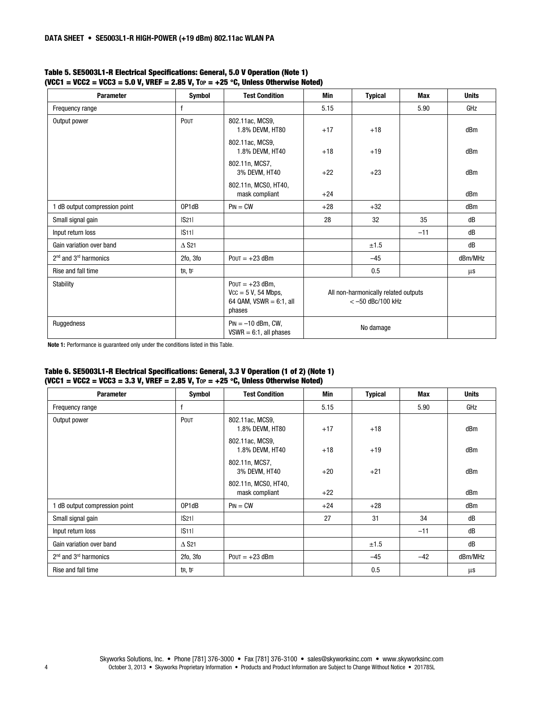| <b>Parameter</b>              | Symbol                      | <b>Test Condition</b>                                                               | Min   | <b>Typical</b>                                             | <b>Max</b> | <b>Units</b> |
|-------------------------------|-----------------------------|-------------------------------------------------------------------------------------|-------|------------------------------------------------------------|------------|--------------|
| Frequency range               | $\mathsf{f}$                |                                                                                     | 5.15  |                                                            | 5.90       | GHz          |
| Output power                  | POUT                        | 802.11ac, MCS9,<br>1.8% DEVM, HT80                                                  | $+17$ | $+18$                                                      |            | dBm          |
|                               |                             | 802.11ac, MCS9,<br>1.8% DEVM, HT40                                                  | $+18$ | $+19$                                                      |            | dBm          |
|                               |                             | 802.11n, MCS7,<br>3% DEVM, HT40                                                     | $+22$ | $+23$                                                      |            | dBm          |
|                               |                             | 802.11n, MCS0, HT40,<br>mask compliant                                              | $+24$ |                                                            |            | dBm          |
| 1 dB output compression point | OP1dB                       | $PIN = CW$                                                                          | $+28$ | $+32$                                                      |            | dBm          |
| Small signal gain             | S21                         |                                                                                     | 28    | 32                                                         | 35         | dB           |
| Input return loss             | S11                         |                                                                                     |       |                                                            | $-11$      | dB           |
| Gain variation over band      | $\triangle$ S <sub>21</sub> |                                                                                     |       | ±1.5                                                       |            | dB           |
| $2nd$ and $3rd$ harmonics     | 2fo, 3fo                    | $POUT = +23$ dBm                                                                    |       | $-45$                                                      |            | dBm/MHz      |
| Rise and fall time            | tR, tF                      |                                                                                     |       | 0.5                                                        |            | $\mu$ s      |
| <b>Stability</b>              |                             | $POUT = +23$ dBm,<br>$Vcc = 5 V$ , 54 Mbps,<br>64 QAM, $VSWR = 6:1$ , all<br>phases |       | All non-harmonically related outputs<br>$<-50$ dBc/100 kHz |            |              |
| Ruggedness                    |                             | $Pin = -10$ dBm, CW,<br>$VSWR = 6:1$ , all phases                                   |       | No damage                                                  |            |              |

#### **Table 5. SE5003L1-R Electrical Specifications: General, 5.0 V Operation (Note 1) (VCC1 = VCC2 = VCC3 = 5.0 V, VREF = 2.85 V, TOP = +25** °**C, Unless Otherwise Noted)**

**Note 1:** Performance is guaranteed only under the conditions listed in this Table.

#### **Table 6. SE5003L1-R Electrical Specifications: General, 3.3 V Operation (1 of 2) (Note 1) (VCC1 = VCC2 = VCC3 = 3.3 V, VREF = 2.85 V, TOP = +25** °**C, Unless Otherwise Noted)**

| <b>Parameter</b>              | Symbol                   | <b>Test Condition</b>                  | Min   | <b>Typical</b> | Max   | <b>Units</b> |
|-------------------------------|--------------------------|----------------------------------------|-------|----------------|-------|--------------|
| Frequency range               | f                        |                                        | 5.15  |                | 5.90  | GHz          |
| Output power                  | POUT                     | 802.11ac, MCS9,<br>1.8% DEVM, HT80     | $+17$ | $+18$          |       | dBm          |
|                               |                          | 802.11ac, MCS9,<br>1.8% DEVM, HT40     | $+18$ | $+19$          |       | dBm          |
|                               |                          | 802.11n, MCS7,<br>3% DEVM, HT40        | $+20$ | $+21$          |       | dBm          |
|                               |                          | 802.11n, MCS0, HT40,<br>mask compliant | $+22$ |                |       | dBm          |
| 1 dB output compression point | OP1dB                    | $Pin = CW$                             | $+24$ | $+28$          |       | dBm          |
| Small signal gain             | S21                      |                                        | 27    | 31             | 34    | dB           |
| Input return loss             | S11                      |                                        |       |                | $-11$ | dB           |
| Gain variation over band      | $\Delta$ S <sub>21</sub> |                                        |       | ±1.5           |       | dB           |
| $2nd$ and $3rd$ harmonics     | 2fo, 3fo                 | $POUT = +23$ dBm                       |       | $-45$          | $-42$ | dBm/MHz      |
| Rise and fall time            | tr, tr                   |                                        |       | 0.5            |       | $\mu$ s      |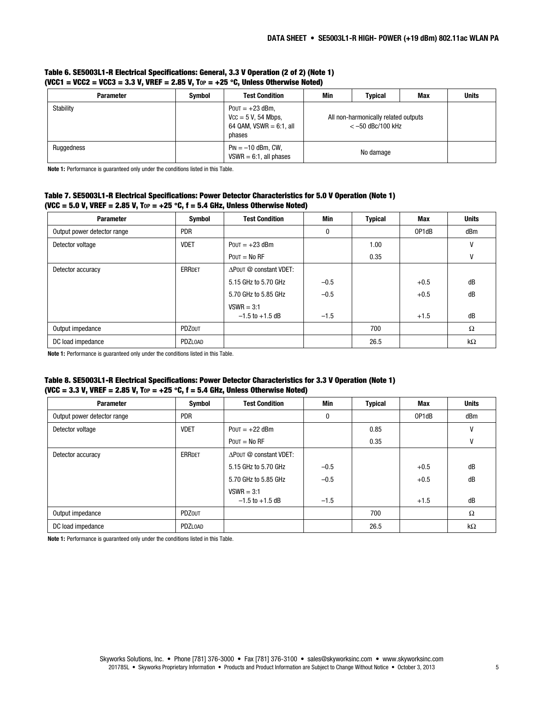| <b>Parameter</b> | <b>Symbol</b> | <b>Test Condition</b>                                                               | Min<br>Typical<br>Max                                      |  | <b>Units</b> |
|------------------|---------------|-------------------------------------------------------------------------------------|------------------------------------------------------------|--|--------------|
| Stability        |               | Pout $= +23$ dBm,<br>$Vcc = 5 V$ , 54 Mbps,<br>64 QAM, $VSWR = 6:1$ , all<br>phases | All non-harmonically related outputs<br>$<-50$ dBc/100 kHz |  |              |
| Ruggedness       |               | $Pin = -10$ dBm, CW,<br>$VSWR = 6:1$ , all phases                                   | No damage                                                  |  |              |

#### **Table 6. SE5003L1-R Electrical Specifications: General, 3.3 V Operation (2 of 2) (Note 1) (VCC1 = VCC2 = VCC3 = 3.3 V, VREF = 2.85 V, TOP = +25** °**C, Unless Otherwise Noted)**

**Note 1:** Performance is guaranteed only under the conditions listed in this Table.

#### **Table 7. SE5003L1-R Electrical Specifications: Power Detector Characteristics for 5.0 V Operation (Note 1) (VCC = 5.0 V, VREF = 2.85 V, TOP = +25** °**C, f = 5.4 GHz, Unless Otherwise Noted)**

| <b>Parameter</b>            | Symbol        | <b>Test Condition</b>  | Min    | <b>Typical</b> | Max    | <b>Units</b> |
|-----------------------------|---------------|------------------------|--------|----------------|--------|--------------|
| Output power detector range | <b>PDR</b>    |                        | 0      |                | OP1dB  | dBm          |
| Detector voltage            | <b>VDET</b>   | $POUT = +23$ dBm       |        | 1.00           |        | ٧            |
|                             |               | $POUT = No RF$         |        | 0.35           |        | ٧            |
| Detector accuracy           | <b>ERRDET</b> | APOUT @ constant VDET: |        |                |        |              |
|                             |               | 5.15 GHz to 5.70 GHz   | $-0.5$ |                | $+0.5$ | dB           |
|                             |               | 5.70 GHz to 5.85 GHz   | $-0.5$ |                | $+0.5$ | dB           |
|                             |               | $VSWR = 3:1$           |        |                |        |              |
|                             |               | $-1.5$ to $+1.5$ dB    | $-1.5$ |                | $+1.5$ | dB           |
| Output impedance            | <b>PDZOUT</b> |                        |        | 700            |        | $\Omega$     |
| DC load impedance           | PDZLOAD       |                        |        | 26.5           |        | $k\Omega$    |

**Note 1:** Performance is guaranteed only under the conditions listed in this Table.

#### **Table 8. SE5003L1-R Electrical Specifications: Power Detector Characteristics for 3.3 V Operation (Note 1) (VCC = 3.3 V, VREF = 2.85 V, TOP = +25** °**C, f = 5.4 GHz, Unless Otherwise Noted)**

| <b>Parameter</b>            | Symbol        | <b>Test Condition</b>  | Min      | <b>Typical</b> | Max    | <b>Units</b> |
|-----------------------------|---------------|------------------------|----------|----------------|--------|--------------|
| Output power detector range | <b>PDR</b>    |                        | $\bf{0}$ |                | OP1dB  | dBm          |
| Detector voltage            | <b>VDET</b>   | POUT = $+22$ dBm       |          | 0.85           |        | V            |
|                             |               | $POUT = No RF$         |          | 0.35           |        | ٧            |
| Detector accuracy           | <b>ERRDET</b> | APOUT @ constant VDET: |          |                |        |              |
|                             |               | 5.15 GHz to 5.70 GHz   | $-0.5$   |                | $+0.5$ | dB           |
|                             |               | 5.70 GHz to 5.85 GHz   | $-0.5$   |                | $+0.5$ | dB           |
|                             |               | $VSWR = 3:1$           |          |                |        |              |
|                             |               | $-1.5$ to $+1.5$ dB    | $-1.5$   |                | $+1.5$ | dB           |
| Output impedance            | PDZOUT        |                        |          | 700            |        | $\Omega$     |
| DC load impedance           | PDZLOAD       |                        |          | 26.5           |        | $k\Omega$    |

**Note 1:** Performance is guaranteed only under the conditions listed in this Table.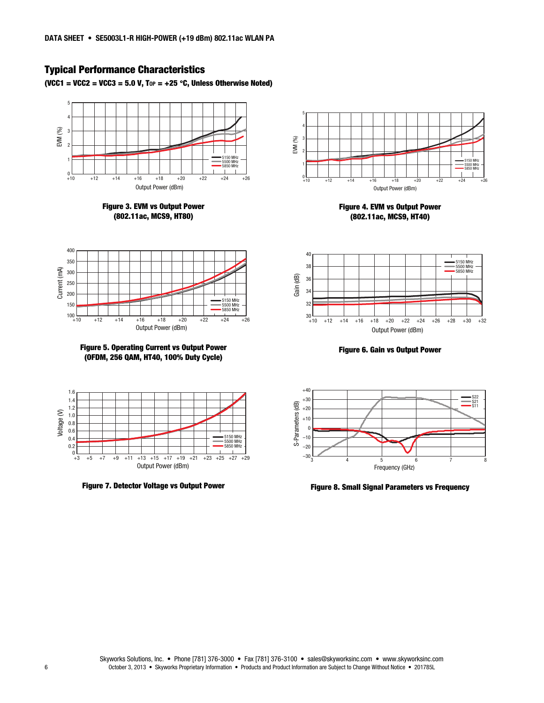# **Typical Performance Characteristics**

**(VCC1 = VCC2 = VCC3 = 5.0 V, TOP = +25** °**C, Unless Otherwise Noted)** 







**Figure 5. Operating Current vs Output Power (OFDM, 256 QAM, HT40, 100% Duty Cycle)** 



**Figure 7. Detector Voltage vs Output Power** 



**Figure 4. EVM vs Output Power (802.11ac, MCS9, HT40)** 



**Figure 6. Gain vs Output Power** 



**Figure 8. Small Signal Parameters vs Frequency**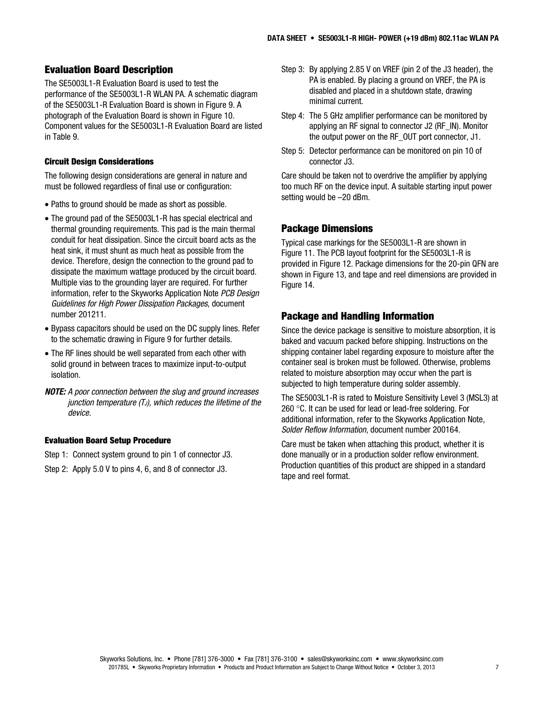# **Evaluation Board Description**

The SE5003L1-R Evaluation Board is used to test the performance of the SE5003L1-R WLAN PA. A schematic diagram of the SE5003L1-R Evaluation Board is shown in Figure 9. A photograph of the Evaluation Board is shown in Figure 10. Component values for the SE5003L1-R Evaluation Board are listed in Table 9.

#### **Circuit Design Considerations**

The following design considerations are general in nature and must be followed regardless of final use or configuration:

- Paths to ground should be made as short as possible.
- The ground pad of the SE5003L1-R has special electrical and thermal grounding requirements. This pad is the main thermal conduit for heat dissipation. Since the circuit board acts as the heat sink, it must shunt as much heat as possible from the device. Therefore, design the connection to the ground pad to dissipate the maximum wattage produced by the circuit board. Multiple vias to the grounding layer are required. For further information, refer to the Skyworks Application Note PCB Design Guidelines for High Power Dissipation Packages, document number 201211.
- Bypass capacitors should be used on the DC supply lines. Refer to the schematic drawing in Figure 9 for further details.
- The RF lines should be well separated from each other with solid ground in between traces to maximize input-to-output isolation.
- *NOTE:* A poor connection between the slug and ground increases junction temperature  $(T_J)$ , which reduces the lifetime of the device.

#### **Evaluation Board Setup Procedure**

Step 1: Connect system ground to pin 1 of connector J3.

Step 2: Apply 5.0 V to pins 4, 6, and 8 of connector J3.

- Step 3: By applying 2.85 V on VREF (pin 2 of the J3 header), the PA is enabled. By placing a ground on VREF, the PA is disabled and placed in a shutdown state, drawing minimal current.
- Step 4: The 5 GHz amplifier performance can be monitored by applying an RF signal to connector J2 (RF\_IN). Monitor the output power on the RF\_OUT port connector, J1.
- Step 5: Detector performance can be monitored on pin 10 of connector J3.

Care should be taken not to overdrive the amplifier by applying too much RF on the device input. A suitable starting input power setting would be –20 dBm.

#### **Package Dimensions**

Typical case markings for the SE5003L1-R are shown in Figure 11. The PCB layout footprint for the SE5003L1-R is provided in Figure 12. Package dimensions for the 20-pin QFN are shown in Figure 13, and tape and reel dimensions are provided in Figure 14.

#### **Package and Handling Information**

Since the device package is sensitive to moisture absorption, it is baked and vacuum packed before shipping. Instructions on the shipping container label regarding exposure to moisture after the container seal is broken must be followed. Otherwise, problems related to moisture absorption may occur when the part is subjected to high temperature during solder assembly.

The SE5003L1-R is rated to Moisture Sensitivity Level 3 (MSL3) at 260 °C. It can be used for lead or lead-free soldering. For additional information, refer to the Skyworks Application Note, Solder Reflow Information, document number 200164.

Care must be taken when attaching this product, whether it is done manually or in a production solder reflow environment. Production quantities of this product are shipped in a standard tape and reel format.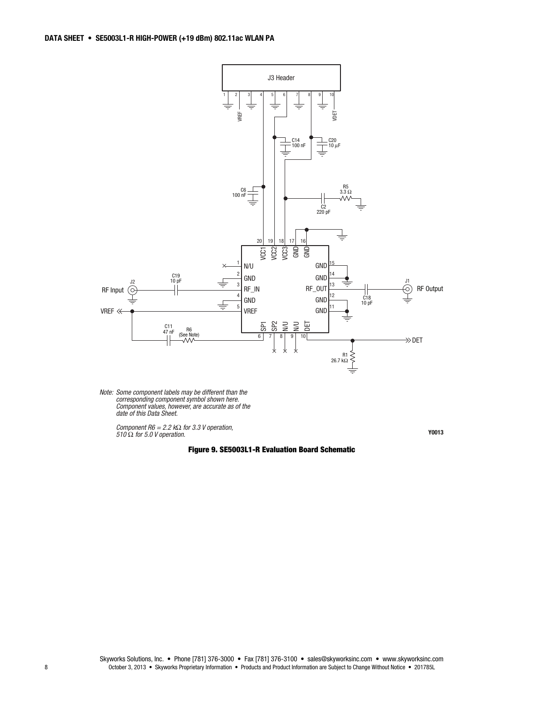

Note: Some component labels may be different than the corresponding component symbol shown here. Component values, however, are accurate as of the date of this Data Sheet.

Component R6 = 2.2 kΩ for 3.3 V operation,<br>510 Ω for 5.0 V operation.

**Figure 9. SE5003L1-R Evaluation Board Schematic** 

**Y0013**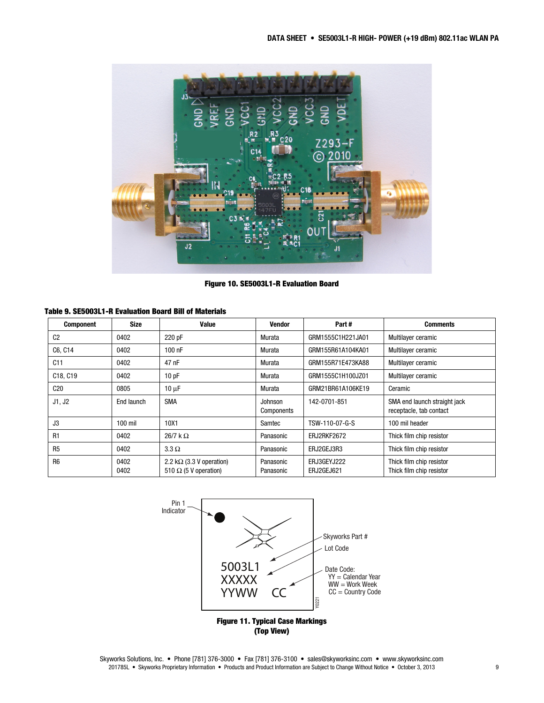

**Figure 10. SE5003L1-R Evaluation Board** 

#### **Table 9. SE5003L1-R Evaluation Board Bill of Materials**

| <b>Component</b>                  | <b>Size</b>  | Value                                                            | Vendor                 | Part#                     | <b>Comments</b>                                         |
|-----------------------------------|--------------|------------------------------------------------------------------|------------------------|---------------------------|---------------------------------------------------------|
| C <sub>2</sub>                    | 0402         | 220 pF                                                           | Murata                 | GRM1555C1H221JA01         | Multilayer ceramic                                      |
| C6, C14                           | 0402         | 100 nF                                                           | Murata                 | GRM155R61A104KA01         | Multilayer ceramic                                      |
| C11                               | 0402         | 47 nF                                                            | Murata                 | GRM155R71E473KA88         | Multilayer ceramic                                      |
| C <sub>18</sub> , C <sub>19</sub> | 0402         | 10pF                                                             | Murata                 | GRM1555C1H100JZ01         | Multilayer ceramic                                      |
| C20                               | 0805         | $10 \mu F$                                                       | Murata                 | GRM21BR61A106KE19         | Ceramic                                                 |
| J1, J2                            | End launch   | <b>SMA</b>                                                       | Johnson<br>Components  | 142-0701-851              | SMA end launch straight jack<br>receptacle, tab contact |
| J3                                | $100$ mil    | 10X1                                                             | Samtec                 | TSW-110-07-G-S            | 100 mil header                                          |
| R <sub>1</sub>                    | 0402         | $26/7$ k $\Omega$                                                | Panasonic              | ERJ2RKF2672               | Thick film chip resistor                                |
| R <sub>5</sub>                    | 0402         | $3.3 \Omega$                                                     | Panasonic              | ERJ2GEJ3R3                | Thick film chip resistor                                |
| R <sub>6</sub>                    | 0402<br>0402 | 2.2 k $\Omega$ (3.3 V operation)<br>510 $\Omega$ (5 V operation) | Panasonic<br>Panasonic | ERJ3GEYJ222<br>ERJ2GEJ621 | Thick film chip resistor<br>Thick film chip resistor    |



**(Top View)** 

Skyworks Solutions, Inc. • Phone [781] 376-3000 • Fax [781] 376-3100 • sales@skyworksinc.com • www.skyworksinc.com 201785L • Skyworks Proprietary Information • Products and Product Information are Subject to Change Without Notice • October 3, 2013 9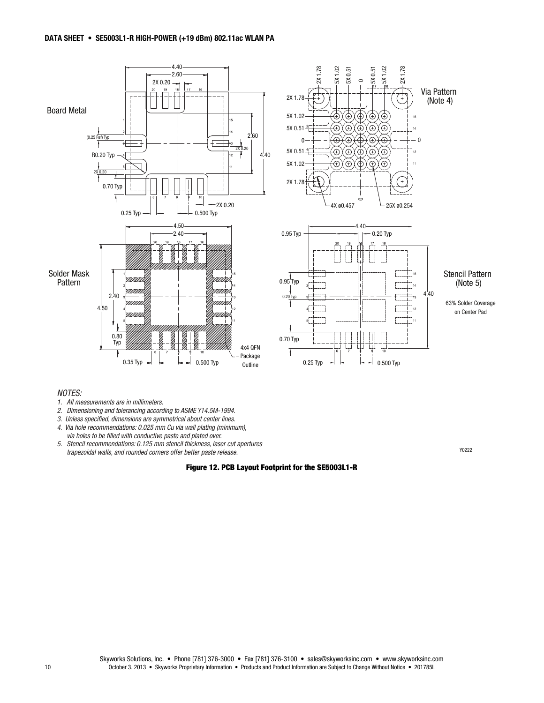

#### NOTES:

- 1. All measurements are in millimeters.
- 2. Dimensioning and tolerancing according to ASME Y14.5M-1994.
- 3. Unless specified, dimensions are symmetrical about center lines.
- 4. Via hole recommendations: 0.025 mm Cu via wall plating (minimum), via holes to be filled with conductive paste and plated over.
- 5. Stencil recommendations: 0.125 mm stencil thickness, laser cut apertures trapezoidal walls, and rounded corners offer better paste release. Y0222

#### **Figure 12. PCB Layout Footprint for the SE5003L1-R**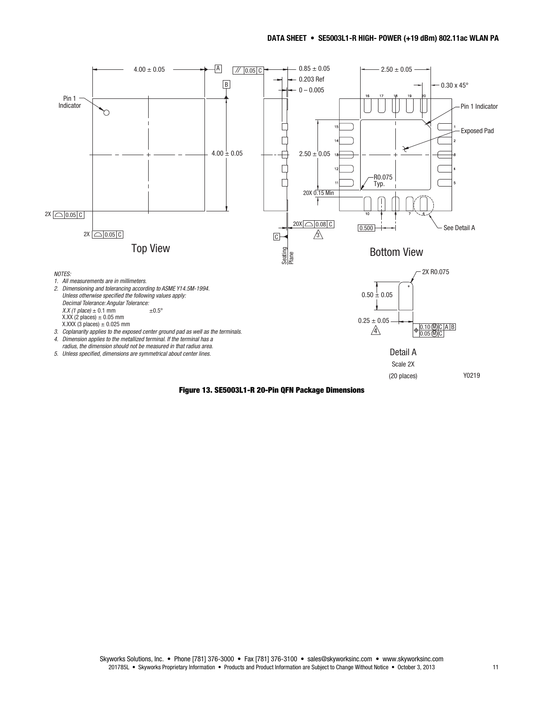

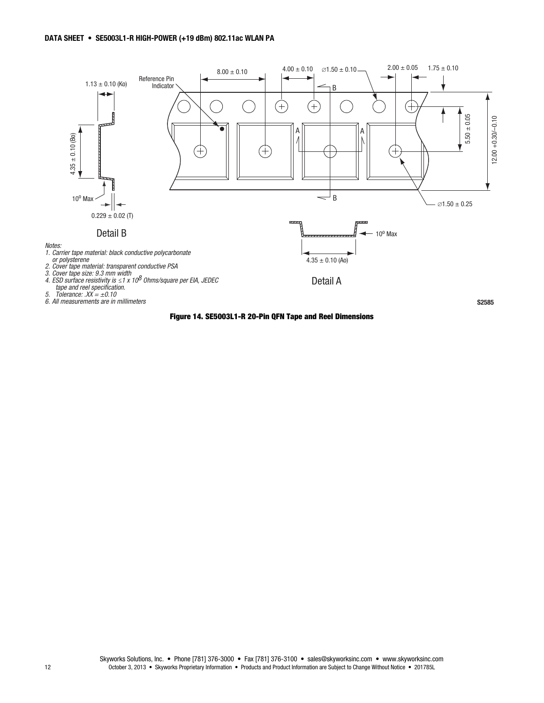

#### **Figure 14. SE5003L1-R 20-Pin QFN Tape and Reel Dimensions**

Skyworks Solutions, Inc. • Phone [781] 376-3000 • Fax [781] 376-3100 • sales@skyworksinc.com • www.skyworksinc.com 12 October 3, 2013 • Skyworks Proprietary Information • Products and Product Information are Subject to Change Without Notice • 201785L